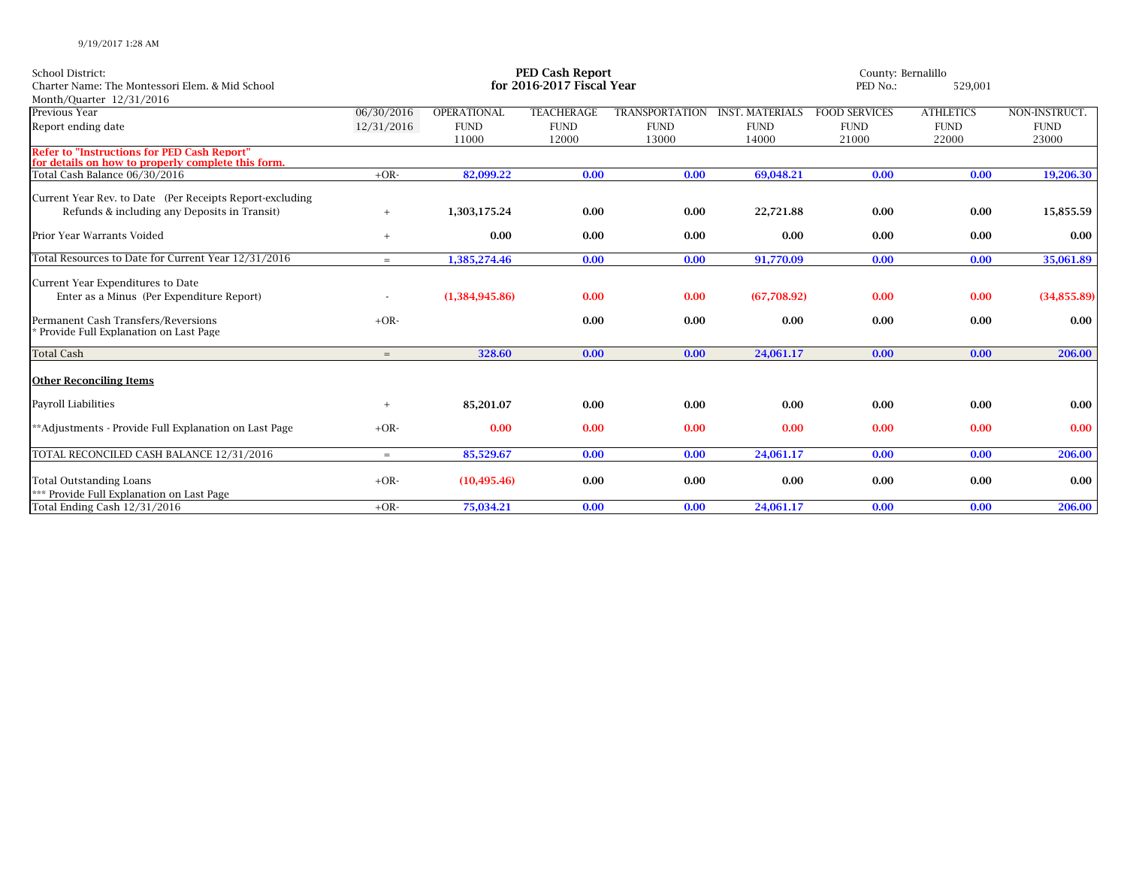| School District:<br>Charter Name: The Montessori Elem. & Mid School<br>Month/Quarter 12/31/2016                       | <b>PED Cash Report</b><br>for 2016-2017 Fiscal Year |                |                   |                       |                        |                      | County: Bernalillo<br>PED No.:<br>529,001 |                         |  |
|-----------------------------------------------------------------------------------------------------------------------|-----------------------------------------------------|----------------|-------------------|-----------------------|------------------------|----------------------|-------------------------------------------|-------------------------|--|
| Previous Year                                                                                                         | 06/30/2016                                          | OPERATIONAL    | <b>TEACHERAGE</b> | <b>TRANSPORTATION</b> | <b>INST. MATERIALS</b> | <b>FOOD SERVICES</b> | <b>ATHLETICS</b>                          | NON-INSTRUCT.           |  |
| Report ending date                                                                                                    | 12/31/2016                                          | <b>FUND</b>    | <b>FUND</b>       | <b>FUND</b>           | <b>FUND</b>            | <b>FUND</b>          | <b>FUND</b>                               | <b>FUND</b>             |  |
|                                                                                                                       |                                                     | 11000          | 12000             | 13000                 | 14000                  | 21000                | 22000                                     | 23000                   |  |
| <b>Refer to "Instructions for PED Cash Report"</b><br>for details on how to properly complete this form.              |                                                     |                |                   |                       |                        |                      |                                           |                         |  |
| Total Cash Balance 06/30/2016                                                                                         | $+OR-$                                              | 82,099.22      | 0.00              | 0.00                  | 69,048.21              | 0.00                 | 0.00                                      | 19,206.30               |  |
| Current Year Rev. to Date (Per Receipts Report-excluding<br>Refunds & including any Deposits in Transit)              | $+$                                                 | 1,303,175.24   | 0.00              | 0.00                  | 22,721.88              | 0.00                 | 0.00                                      | 15,855.59               |  |
| Prior Year Warrants Voided                                                                                            | $+$                                                 | 0.00           | 0.00              | 0.00                  | 0.00                   | 0.00                 | 0.00                                      | $0.00\,$                |  |
| Total Resources to Date for Current Year 12/31/2016                                                                   | $=$                                                 | 1,385,274.46   | 0.00              | 0.00                  | 91,770.09              | 0.00                 | 0.00                                      | 35,061.89               |  |
| Current Year Expenditures to Date<br>Enter as a Minus (Per Expenditure Report)<br>Permanent Cash Transfers/Reversions | $+OR-$                                              | (1,384,945.86) | 0.00<br>0.00      | 0.00<br>0.00          | (67,708.92)<br>0.00    | 0.00<br>0.00         | 0.00<br>0.00                              | (34,855.89)<br>$0.00\,$ |  |
| * Provide Full Explanation on Last Page                                                                               |                                                     |                |                   |                       |                        |                      |                                           |                         |  |
| <b>Total Cash</b>                                                                                                     | $=$                                                 | 328.60         | 0.00              | 0.00                  | 24,061.17              | 0.00                 | 0.00                                      | 206.00                  |  |
| <b>Other Reconciling Items</b>                                                                                        |                                                     |                |                   |                       |                        |                      |                                           |                         |  |
| Payroll Liabilities                                                                                                   | $+$                                                 | 85,201.07      | 0.00              | 0.00                  | 0.00                   | 0.00                 | 0.00                                      | $0.00\,$                |  |
| **Adjustments - Provide Full Explanation on Last Page                                                                 | $+OR-$                                              | 0.00           | 0.00              | 0.00                  | 0.00                   | 0.00                 | 0.00                                      | 0.00                    |  |
| TOTAL RECONCILED CASH BALANCE 12/31/2016                                                                              | $=$                                                 | 85,529.67      | 0.00              | 0.00                  | 24,061.17              | 0.00                 | 0.00                                      | 206.00                  |  |
| <b>Total Outstanding Loans</b><br>*** Provide Full Explanation on Last Page                                           | $+OR-$                                              | (10, 495.46)   | 0.00              | 0.00                  | 0.00                   | 0.00                 | 0.00                                      | $0.00\,$                |  |
| Total Ending Cash 12/31/2016                                                                                          | $+OR-$                                              | 75,034.21      | 0.00              | 0.00                  | 24,061.17              | 0.00                 | 0.00                                      | 206.00                  |  |

9/19/2017 1:28 AM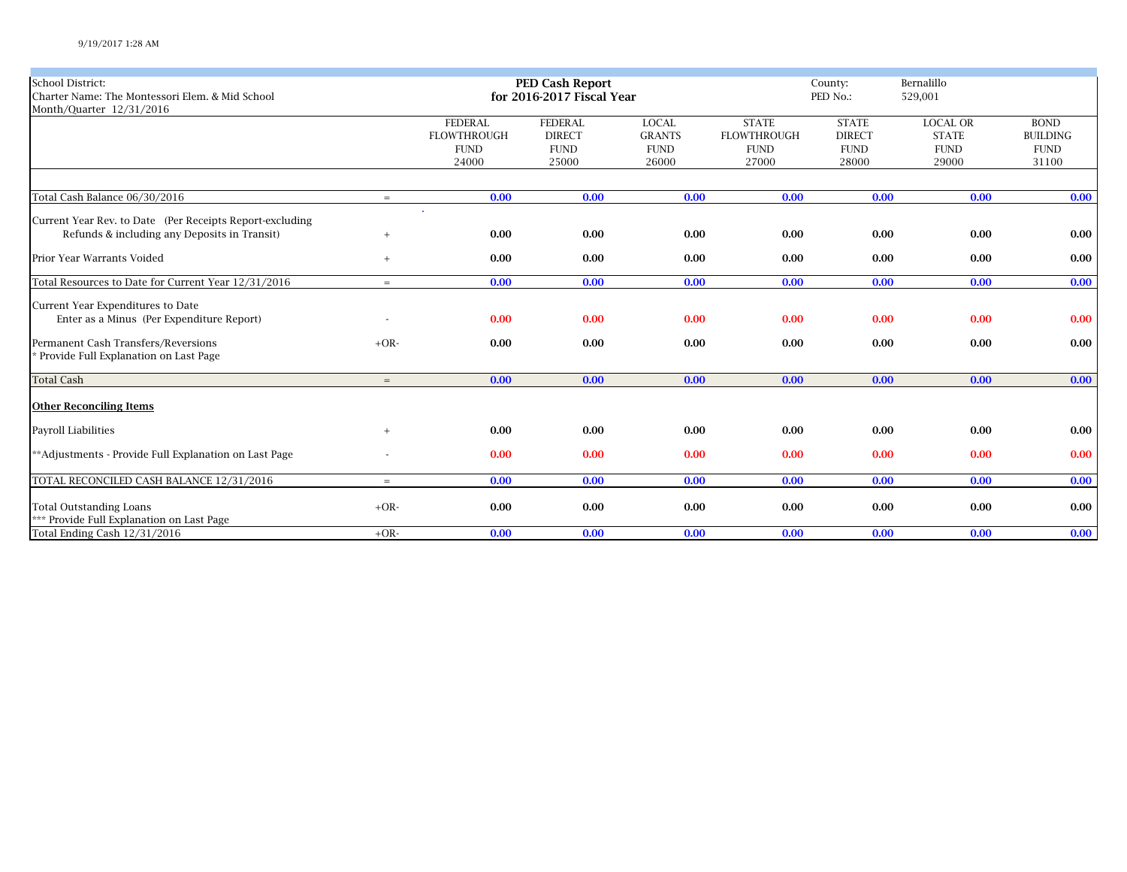| School District:                                         |        |                    | <b>PED Cash Report</b>    |               | County:            | Bernalillo    |                 |                 |
|----------------------------------------------------------|--------|--------------------|---------------------------|---------------|--------------------|---------------|-----------------|-----------------|
| Charter Name: The Montessori Elem. & Mid School          |        |                    | for 2016-2017 Fiscal Year |               |                    | PED No.:      | 529,001         |                 |
| Month/Quarter 12/31/2016                                 |        |                    |                           |               |                    |               |                 |                 |
|                                                          |        | <b>FEDERAL</b>     | <b>FEDERAL</b>            | <b>LOCAL</b>  | <b>STATE</b>       | <b>STATE</b>  | <b>LOCAL OR</b> | <b>BOND</b>     |
|                                                          |        | <b>FLOWTHROUGH</b> | <b>DIRECT</b>             | <b>GRANTS</b> | <b>FLOWTHROUGH</b> | <b>DIRECT</b> | <b>STATE</b>    | <b>BUILDING</b> |
|                                                          |        | <b>FUND</b>        | <b>FUND</b>               | <b>FUND</b>   | <b>FUND</b>        | <b>FUND</b>   | <b>FUND</b>     | <b>FUND</b>     |
|                                                          |        | 24000              | 25000                     | 26000         | 27000              | 28000         | 29000           | 31100           |
|                                                          |        |                    |                           |               |                    |               |                 |                 |
| Total Cash Balance 06/30/2016                            | $=$    | 0.00               | 0.00                      | 0.00          | 0.00               | 0.00          | 0.00            | 0.00            |
| Current Year Rev. to Date (Per Receipts Report-excluding |        |                    |                           |               |                    |               |                 |                 |
| Refunds & including any Deposits in Transit)             | $+$    | 0.00               | 0.00                      | 0.00          | 0.00               | 0.00          | 0.00            | 0.00            |
|                                                          |        |                    |                           |               |                    |               |                 |                 |
| Prior Year Warrants Voided                               | $+$    | 0.00               | 0.00                      | 0.00          | 0.00               | 0.00          | 0.00            | 0.00            |
| Total Resources to Date for Current Year 12/31/2016      | $=$    | 0.00               | 0.00                      | 0.00          | 0.00               | 0.00          | 0.00            | 0.00            |
|                                                          |        |                    |                           |               |                    |               |                 |                 |
| Current Year Expenditures to Date                        |        |                    |                           |               |                    |               |                 |                 |
| Enter as a Minus (Per Expenditure Report)                |        | 0.00               | 0.00                      | 0.00          | 0.00               | 0.00          | 0.00            | 0.00            |
|                                                          |        |                    |                           |               |                    |               |                 |                 |
| Permanent Cash Transfers/Reversions                      | $+OR-$ | 0.00               | 0.00                      | 0.00          | 0.00               | 0.00          | 0.00            | 0.00            |
| * Provide Full Explanation on Last Page                  |        |                    |                           |               |                    |               |                 |                 |
| <b>Total Cash</b>                                        | $=$    | 0.00               | 0.00                      | 0.00          | 0.00               | 0.00          | 0.00            | 0.00            |
|                                                          |        |                    |                           |               |                    |               |                 |                 |
| <b>Other Reconciling Items</b>                           |        |                    |                           |               |                    |               |                 |                 |
| Payroll Liabilities                                      | $+$    | 0.00               | 0.00                      | 0.00          | 0.00               | 0.00          | 0.00            | $0.00\,$        |
|                                                          |        |                    |                           |               |                    |               |                 |                 |
| **Adjustments - Provide Full Explanation on Last Page    |        | 0.00               | 0.00                      | 0.00          | 0.00               | 0.00          | 0.00            | 0.00            |
| TOTAL RECONCILED CASH BALANCE 12/31/2016                 | $=$    | 0.00               | 0.00                      | 0.00          | 0.00               | 0.00          | 0.00            | 0.00            |
|                                                          |        |                    |                           |               |                    |               |                 |                 |
| <b>Total Outstanding Loans</b>                           | $+OR-$ | 0.00               | 0.00                      | 0.00          | 0.00               | 0.00          | 0.00            | 0.00            |
| *** Provide Full Explanation on Last Page                |        |                    |                           |               |                    |               |                 |                 |
| Total Ending Cash 12/31/2016                             | $+OR-$ | 0.00               | 0.00                      | 0.00          | 0.00               | 0.00          | 0.00            | 0.00            |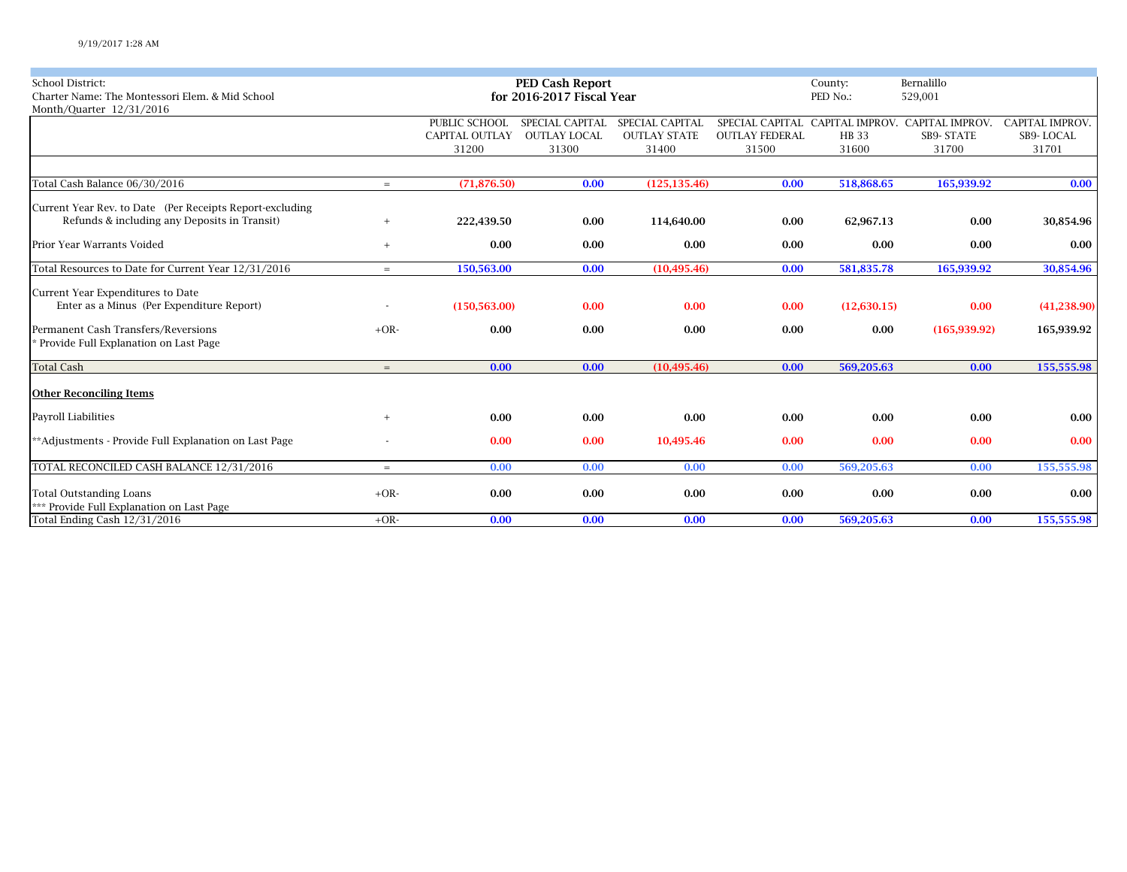| <b>School District:</b>                                  |        |                       | <b>PED Cash Report</b>    |                        | County:               | Bernalillo  |                                                 |                        |
|----------------------------------------------------------|--------|-----------------------|---------------------------|------------------------|-----------------------|-------------|-------------------------------------------------|------------------------|
| Charter Name: The Montessori Elem. & Mid School          |        |                       | for 2016-2017 Fiscal Year |                        |                       | PED No.:    | 529,001                                         |                        |
| Month/Quarter 12/31/2016                                 |        |                       |                           |                        |                       |             |                                                 |                        |
|                                                          |        | PUBLIC SCHOOL         | SPECIAL CAPITAL           | <b>SPECIAL CAPITAL</b> |                       |             | SPECIAL CAPITAL CAPITAL IMPROV. CAPITAL IMPROV. | <b>CAPITAL IMPROV.</b> |
|                                                          |        | <b>CAPITAL OUTLAY</b> | <b>OUTLAY LOCAL</b>       | <b>OUTLAY STATE</b>    | <b>OUTLAY FEDERAL</b> | <b>HB33</b> | <b>SB9- STATE</b>                               | SB9-LOCAL              |
|                                                          |        | 31200                 | 31300                     | 31400                  | 31500                 | 31600       | 31700                                           | 31701                  |
|                                                          |        |                       |                           |                        |                       |             |                                                 |                        |
| Total Cash Balance 06/30/2016                            | $=$    | (71, 876.50)          | 0.00                      | (125, 135.46)          | 0.00                  | 518,868.65  | 165,939.92                                      | 0.00                   |
| Current Year Rev. to Date (Per Receipts Report-excluding |        |                       |                           |                        |                       |             |                                                 |                        |
| Refunds & including any Deposits in Transit)             | $+$    | 222,439.50            | 0.00                      | 114,640.00             | 0.00                  | 62,967.13   | 0.00                                            | 30,854.96              |
| Prior Year Warrants Voided                               | $+$    | 0.00                  | 0.00                      | 0.00                   | 0.00                  | 0.00        | 0.00                                            | 0.00                   |
| Total Resources to Date for Current Year 12/31/2016      | $=$    | 150,563.00            | 0.00                      | (10, 495.46)           | 0.00                  | 581,835.78  | 165,939.92                                      | 30,854.96              |
| Current Year Expenditures to Date                        |        |                       |                           |                        |                       |             |                                                 |                        |
| Enter as a Minus (Per Expenditure Report)                |        | (150, 563.00)         | 0.00                      | 0.00                   | 0.00                  | (12,630.15) | 0.00                                            | (41, 238.90)           |
| Permanent Cash Transfers/Reversions                      | $+OR-$ | 0.00                  | 0.00                      | 0.00                   | 0.00                  | 0.00        | (165, 939.92)                                   | 165,939.92             |
| Provide Full Explanation on Last Page                    |        |                       |                           |                        |                       |             |                                                 |                        |
| <b>Total Cash</b>                                        | $=$    | 0.00                  | 0.00                      | (10, 495.46)           | 0.00                  | 569,205.63  | 0.00                                            | 155,555.98             |
| <b>Other Reconciling Items</b>                           |        |                       |                           |                        |                       |             |                                                 |                        |
| Payroll Liabilities                                      | $+$    | 0.00                  | 0.00                      | 0.00                   | 0.00                  | 0.00        | 0.00                                            | 0.00                   |
| **Adjustments - Provide Full Explanation on Last Page    |        | 0.00                  | 0.00                      | 10,495.46              | 0.00                  | 0.00        | 0.00                                            | 0.00                   |
| TOTAL RECONCILED CASH BALANCE 12/31/2016                 | $=$    | 0.00                  | 0.00                      | 0.00                   | 0.00                  | 569,205.63  | 0.00                                            | 155,555.98             |
| <b>Total Outstanding Loans</b>                           | $+OR-$ | 0.00                  | 0.00                      | 0.00                   | 0.00                  | 0.00        | 0.00                                            | 0.00                   |
| *** Provide Full Explanation on Last Page                |        |                       |                           |                        |                       |             |                                                 |                        |
| Total Ending Cash 12/31/2016                             | $+OR-$ | 0.00                  | 0.00                      | 0.00                   | 0.00                  | 569,205.63  | 0.00                                            | 155,555.98             |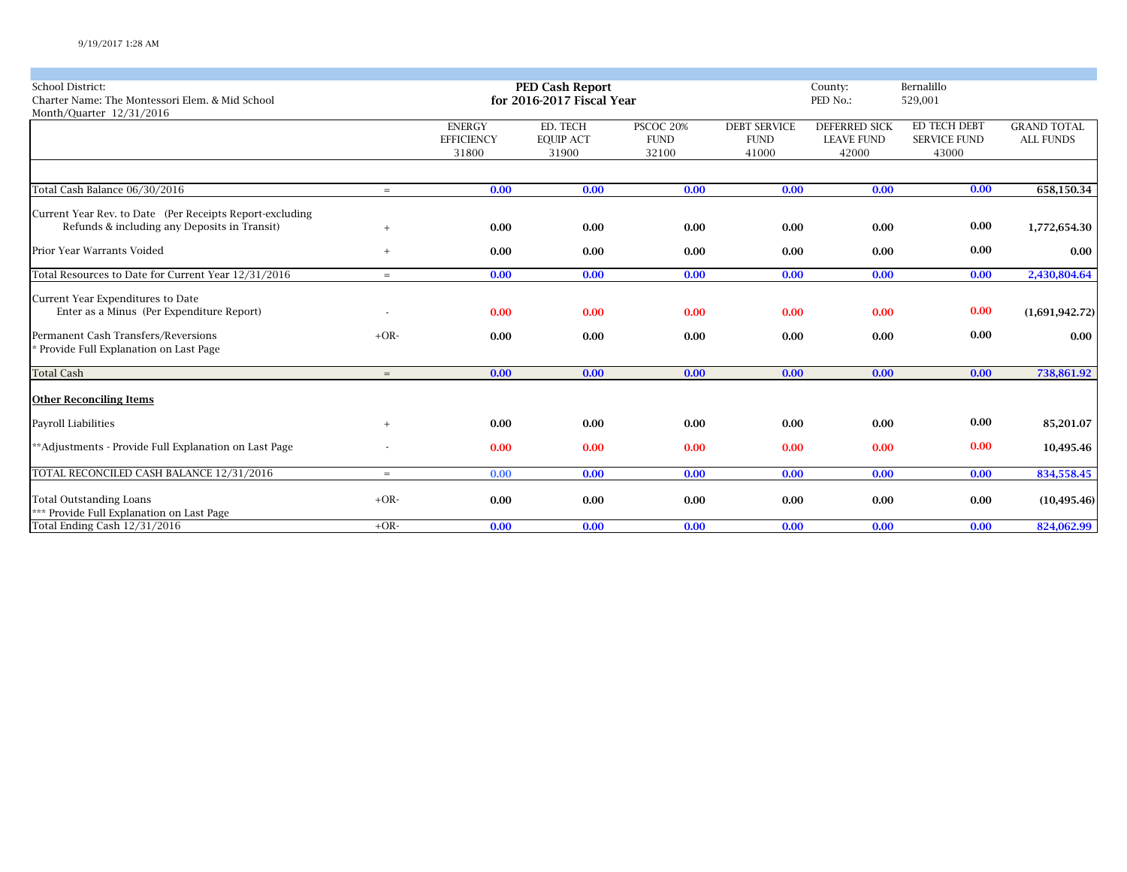| <b>School District:</b><br>Charter Name: The Montessori Elem. & Mid School<br>Month/Quarter 12/31/2016   |           |                                             | PED Cash Report<br>for 2016-2017 Fiscal Year |                                   | Bernalillo<br>County:<br>PED No.:<br>529,001 |                                                    |                                              |                                        |
|----------------------------------------------------------------------------------------------------------|-----------|---------------------------------------------|----------------------------------------------|-----------------------------------|----------------------------------------------|----------------------------------------------------|----------------------------------------------|----------------------------------------|
|                                                                                                          |           | <b>ENERGY</b><br><b>EFFICIENCY</b><br>31800 | ED. TECH<br><b>EQUIP ACT</b><br>31900        | PSCOC 20%<br><b>FUND</b><br>32100 | <b>DEBT SERVICE</b><br><b>FUND</b><br>41000  | <b>DEFERRED SICK</b><br><b>LEAVE FUND</b><br>42000 | ED TECH DEBT<br><b>SERVICE FUND</b><br>43000 | <b>GRAND TOTAL</b><br><b>ALL FUNDS</b> |
|                                                                                                          |           |                                             |                                              |                                   |                                              |                                                    |                                              |                                        |
| Total Cash Balance 06/30/2016                                                                            | $=$       | 0.00                                        | 0.00                                         | 0.00                              | 0.00                                         | 0.00                                               | 0.00                                         | 658,150.34                             |
| Current Year Rev. to Date (Per Receipts Report-excluding<br>Refunds & including any Deposits in Transit) | $\ddot{}$ | 0.00                                        | 0.00                                         | 0.00                              | 0.00                                         | 0.00                                               | 0.00                                         | 1,772,654.30                           |
| Prior Year Warrants Voided                                                                               | $+$       | 0.00                                        | 0.00                                         | 0.00                              | 0.00                                         | 0.00                                               | 0.00                                         | 0.00                                   |
| Total Resources to Date for Current Year 12/31/2016                                                      | $=$       | 0.00                                        | 0.00                                         | 0.00                              | 0.00                                         | 0.00                                               | 0.00                                         | 2,430,804.64                           |
| Current Year Expenditures to Date<br>Enter as a Minus (Per Expenditure Report)                           |           | 0.00                                        | 0.00                                         | 0.00                              | 0.00                                         | 0.00                                               | 0.00                                         | (1,691,942.72)                         |
| Permanent Cash Transfers/Reversions<br>* Provide Full Explanation on Last Page                           | $+OR-$    | 0.00                                        | 0.00                                         | 0.00                              | 0.00                                         | 0.00                                               | 0.00                                         | 0.00                                   |
| <b>Total Cash</b>                                                                                        | $=$       | 0.00                                        | 0.00                                         | 0.00                              | 0.00                                         | 0.00                                               | 0.00                                         | 738,861.92                             |
| <b>Other Reconciling Items</b>                                                                           |           |                                             |                                              |                                   |                                              |                                                    |                                              |                                        |
| Payroll Liabilities                                                                                      | $+$       | 0.00                                        | 0.00                                         | 0.00                              | 0.00                                         | 0.00                                               | 0.00                                         | 85,201.07                              |
| **Adjustments - Provide Full Explanation on Last Page                                                    |           | 0.00                                        | 0.00                                         | 0.00                              | 0.00                                         | 0.00                                               | 0.00                                         | 10,495.46                              |
| TOTAL RECONCILED CASH BALANCE 12/31/2016                                                                 | $=$       | 0.00                                        | 0.00                                         | 0.00                              | 0.00                                         | 0.00                                               | 0.00                                         | 834,558.45                             |
| <b>Total Outstanding Loans</b><br>*** Provide Full Explanation on Last Page                              | $+OR-$    | 0.00                                        | 0.00                                         | 0.00                              | 0.00                                         | 0.00                                               | 0.00                                         | (10, 495.46)                           |
| Total Ending Cash 12/31/2016                                                                             | $+OR-$    | 0.00                                        | 0.00                                         | 0.00                              | 0.00                                         | 0.00                                               | 0.00                                         | 824,062.99                             |